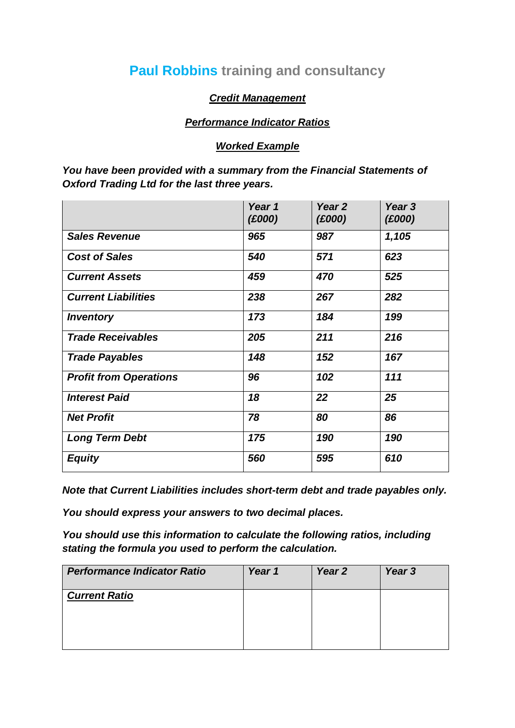## **Paul Robbins training and consultancy**

## *Credit Management*

## *Performance Indicator Ratios*

## *Worked Example*

*You have been provided with a summary from the Financial Statements of Oxford Trading Ltd for the last three years.*

|                               | Year 1<br>(E000) | Year <sub>2</sub><br>(£000) | Year 3<br>(£000) |
|-------------------------------|------------------|-----------------------------|------------------|
| <b>Sales Revenue</b>          | 965              | 987                         | 1,105            |
| <b>Cost of Sales</b>          | 540              | 571                         | 623              |
| <b>Current Assets</b>         | 459              | 470                         | 525              |
| <b>Current Liabilities</b>    | 238              | 267                         | 282              |
| <b>Inventory</b>              | 173              | 184                         | 199              |
| <b>Trade Receivables</b>      | 205              | 211                         | 216              |
| <b>Trade Payables</b>         | 148              | 152                         | 167              |
| <b>Profit from Operations</b> | 96               | 102                         | 111              |
| <b>Interest Paid</b>          | 18               | 22                          | 25               |
| <b>Net Profit</b>             | 78               | 80                          | 86               |
| <b>Long Term Debt</b>         | 175              | 190                         | 190              |
| <b>Equity</b>                 | 560              | 595                         | 610              |

*Note that Current Liabilities includes short-term debt and trade payables only.*

*You should express your answers to two decimal places.*

*You should use this information to calculate the following ratios, including stating the formula you used to perform the calculation.*

| <b>Performance Indicator Ratio</b> | Year 1 | Year <sub>2</sub> | Year 3 |
|------------------------------------|--------|-------------------|--------|
| <b>Current Ratio</b>               |        |                   |        |
|                                    |        |                   |        |